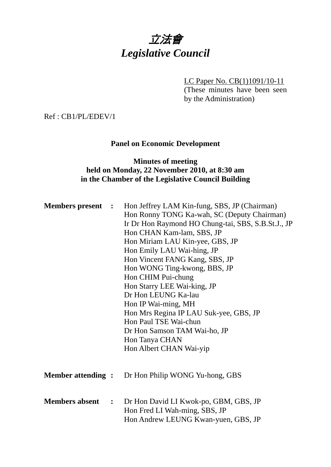# 立法會 *Legislative Council*

LC Paper No. CB(1)1091/10-11

(These minutes have been seen by the Administration)

Ref : CB1/PL/EDEV/1

## **Panel on Economic Development**

## **Minutes of meeting held on Monday, 22 November 2010, at 8:30 am in the Chamber of the Legislative Council Building**

| <b>Members present :</b> | Hon Jeffrey LAM Kin-fung, SBS, JP (Chairman)<br>Hon Ronny TONG Ka-wah, SC (Deputy Chairman)<br>Ir Dr Hon Raymond HO Chung-tai, SBS, S.B.St.J., JP<br>Hon CHAN Kam-lam, SBS, JP<br>Hon Miriam LAU Kin-yee, GBS, JP<br>Hon Emily LAU Wai-hing, JP<br>Hon Vincent FANG Kang, SBS, JP<br>Hon WONG Ting-kwong, BBS, JP<br>Hon CHIM Pui-chung<br>Hon Starry LEE Wai-king, JP<br>Dr Hon LEUNG Ka-lau<br>Hon IP Wai-ming, MH<br>Hon Mrs Regina IP LAU Suk-yee, GBS, JP<br>Hon Paul TSE Wai-chun<br>Dr Hon Samson TAM Wai-ho, JP<br>Hon Tanya CHAN<br>Hon Albert CHAN Wai-yip |
|--------------------------|----------------------------------------------------------------------------------------------------------------------------------------------------------------------------------------------------------------------------------------------------------------------------------------------------------------------------------------------------------------------------------------------------------------------------------------------------------------------------------------------------------------------------------------------------------------------|
| <b>Member attending:</b> | Dr Hon Philip WONG Yu-hong, GBS                                                                                                                                                                                                                                                                                                                                                                                                                                                                                                                                      |
| <b>Members absent :</b>  | Dr Hon David LI Kwok-po, GBM, GBS, JP<br>Hon Fred LI Wah-ming, SBS, JP<br>Hon Andrew LEUNG Kwan-yuen, GBS, JP                                                                                                                                                                                                                                                                                                                                                                                                                                                        |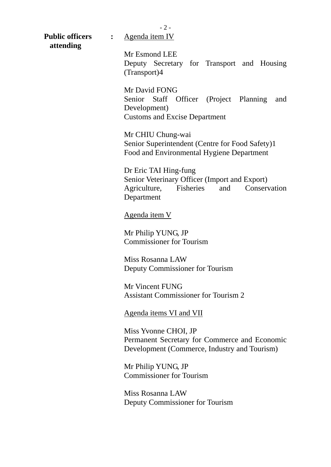**Public officers :** Agenda item IV **attending**

Mr Esmond LEE Deputy Secretary for Transport and Housing (Transport)4

Mr David FONG Senior Staff Officer (Project Planning and Development) Customs and Excise Department

Mr CHIU Chung-wai Senior Superintendent (Centre for Food Safety)1 Food and Environmental Hygiene Department

Dr Eric TAI Hing-fung Senior Veterinary Officer (Import and Export) Agriculture, Fisheries and Conservation Department

Agenda item V

Mr Philip YUNG, JP Commissioner for Tourism

Miss Rosanna LAW Deputy Commissioner for Tourism

Mr Vincent FUNG Assistant Commissioner for Tourism 2

Agenda items VI and VII

Miss Yvonne CHOI, JP Permanent Secretary for Commerce and Economic Development (Commerce, Industry and Tourism)

Mr Philip YUNG, JP Commissioner for Tourism

Miss Rosanna LAW Deputy Commissioner for Tourism

- 2 -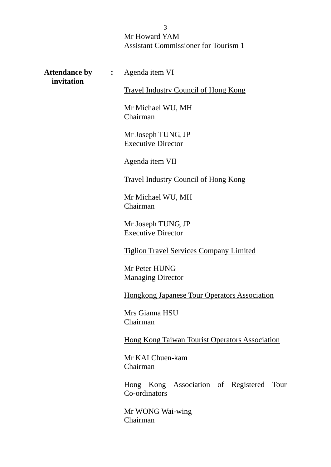## Mr Howard YAM Assistant Commissioner for Tourism 1

**Attendance by :** Agenda item VI  **invitation**  Travel Industry Council of Hong Kong Mr Michael WU, MH Chairman Mr Joseph TUNG, JP Executive Director Agenda item VII Travel Industry Council of Hong Kong Mr Michael WU, MH Chairman Mr Joseph TUNG, JP Executive Director Tiglion Travel Services Company Limited Mr Peter HUNG Managing Director Hongkong Japanese Tour Operators Association Mrs Gianna HSU Chairman Hong Kong Taiwan Tourist Operators Association Mr KAI Chuen-kam Chairman Hong Kong Association of Registered Tour Co-ordinators Mr WONG Wai-wing Chairman

- 3 -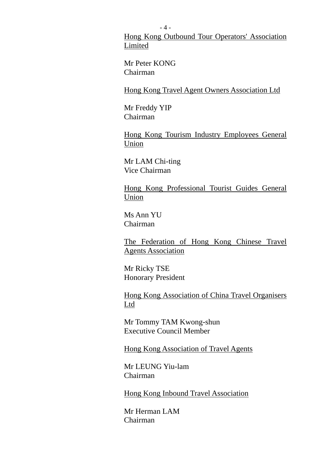Hong Kong Outbound Tour Operators' Association Limited

Mr Peter KONG Chairman

Hong Kong Travel Agent Owners Association Ltd

Mr Freddy YIP Chairman

Hong Kong Tourism Industry Employees General Union

Mr LAM Chi-ting Vice Chairman

Hong Kong Professional Tourist Guides General Union

Ms Ann YU Chairman

The Federation of Hong Kong Chinese Travel Agents Association

Mr Ricky TSE Honorary President

Hong Kong Association of China Travel Organisers Ltd

Mr Tommy TAM Kwong-shun Executive Council Member

Hong Kong Association of Travel Agents

Mr LEUNG Yiu-lam Chairman

Hong Kong Inbound Travel Association

Mr Herman LAM Chairman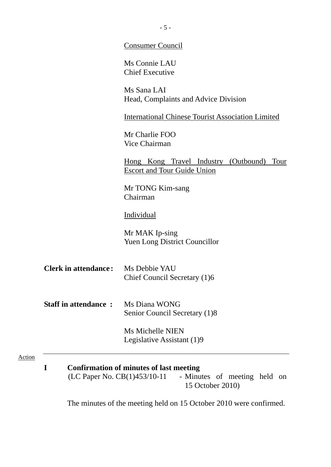|                                                                                                                                          | <b>Consumer Council</b>                                                                   |  |  |  |
|------------------------------------------------------------------------------------------------------------------------------------------|-------------------------------------------------------------------------------------------|--|--|--|
|                                                                                                                                          | Ms Connie LAU<br><b>Chief Executive</b>                                                   |  |  |  |
|                                                                                                                                          | Ms Sana LAI<br>Head, Complaints and Advice Division                                       |  |  |  |
|                                                                                                                                          | <b>International Chinese Tourist Association Limited</b>                                  |  |  |  |
|                                                                                                                                          | Mr Charlie FOO<br><b>Vice Chairman</b>                                                    |  |  |  |
|                                                                                                                                          | <u>Hong Kong Travel Industry (Outbound)</u><br>Tour<br><b>Escort and Tour Guide Union</b> |  |  |  |
|                                                                                                                                          | Mr TONG Kim-sang<br>Chairman                                                              |  |  |  |
|                                                                                                                                          | <b>Individual</b>                                                                         |  |  |  |
|                                                                                                                                          | Mr MAK Ip-sing<br><b>Yuen Long District Councillor</b>                                    |  |  |  |
| <b>Clerk in attendance:</b>                                                                                                              | Ms Debbie YAU<br>Chief Council Secretary (1)6                                             |  |  |  |
| <b>Staff in attendance:</b>                                                                                                              | Ms Diana WONG<br>Senior Council Secretary (1)8                                            |  |  |  |
|                                                                                                                                          | Ms Michelle NIEN<br>Legislative Assistant (1)9                                            |  |  |  |
| <b>Confirmation of minutes of last meeting</b><br>I<br>$(LC$ Paper No. $CB(1)453/10-11$ - Minutes of meeting held on<br>15 October 2010) |                                                                                           |  |  |  |

The minutes of the meeting held on 15 October 2010 were confirmed.

Action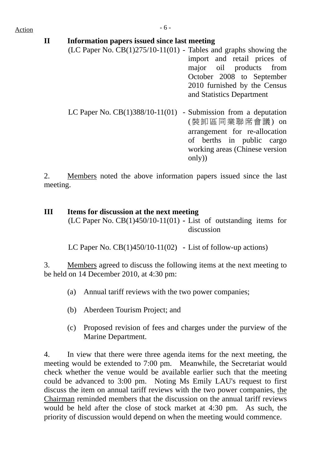| Action |              | $-6-$                                                                                                                |                                                                                                                                                  |
|--------|--------------|----------------------------------------------------------------------------------------------------------------------|--------------------------------------------------------------------------------------------------------------------------------------------------|
|        | $\mathbf{I}$ | Information papers issued since last meeting<br>$(LC$ Paper No. $CB(1)275/10-11(01)$ - Tables and graphs showing the | import and retail prices of<br>major oil products from<br>October 2008 to September<br>2010 furnished by the Census<br>and Statistics Department |
|        |              | LC Paper No. $CB(1)388/10-11(01)$ - Submission from a deputation                                                     | (裝卸區同業聯席會議) on<br>arrangement for re-allocation<br>of berths in public cargo<br>working areas (Chinese version                                   |

2. Members noted the above information papers issued since the last meeting.

only))

## **III Items for discussion at the next meeting**  (LC Paper No. CB(1)450/10-11(01) **-** List of outstanding items for discussion

LC Paper No. CB(1)450/10-11(02) **-** List of follow-up actions)

3. Members agreed to discuss the following items at the next meeting to be held on 14 December 2010, at 4:30 pm:

- (a) Annual tariff reviews with the two power companies;
- (b) Aberdeen Tourism Project; and
- (c) Proposed revision of fees and charges under the purview of the Marine Department.

4. In view that there were three agenda items for the next meeting, the meeting would be extended to 7:00 pm. Meanwhile, the Secretariat would check whether the venue would be available earlier such that the meeting could be advanced to 3:00 pm. Noting Ms Emily LAU's request to first discuss the item on annual tariff reviews with the two power companies, the Chairman reminded members that the discussion on the annual tariff reviews would be held after the close of stock market at 4:30 pm. As such, the priority of discussion would depend on when the meeting would commence.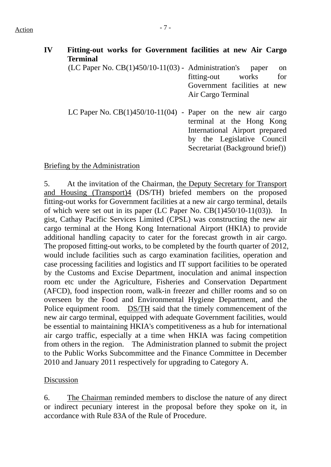| <b>Terminal</b> |                                                       | Fitting-out works for Government facilities at new Air Cargo                                                                                                                                   |
|-----------------|-------------------------------------------------------|------------------------------------------------------------------------------------------------------------------------------------------------------------------------------------------------|
|                 | (LC Paper No. $CB(1)450/10-11(03)$ - Administration's | paper<br><sub>on</sub><br>for<br>fitting-out works<br>Government facilities at new<br>Air Cargo Terminal                                                                                       |
|                 |                                                       | LC Paper No. $CB(1)450/10-11(04)$ - Paper on the new air cargo<br>terminal at the Hong Kong<br>International Airport prepared<br>by the Legislative Council<br>Secretariat (Background brief)) |

#### Briefing by the Administration

5. At the invitation of the Chairman, the Deputy Secretary for Transport and Housing (Transport)4 (DS/TH) briefed members on the proposed fitting-out works for Government facilities at a new air cargo terminal, details of which were set out in its paper (LC Paper No. CB(1)450/10-11(03)). In gist, Cathay Pacific Services Limited (CPSL) was constructing the new air cargo terminal at the Hong Kong International Airport (HKIA) to provide additional handling capacity to cater for the forecast growth in air cargo. The proposed fitting-out works, to be completed by the fourth quarter of 2012, would include facilities such as cargo examination facilities, operation and case processing facilities and logistics and IT support facilities to be operated by the Customs and Excise Department, inoculation and animal inspection room etc under the Agriculture, Fisheries and Conservation Department (AFCD), food inspection room, walk-in freezer and chiller rooms and so on overseen by the Food and Environmental Hygiene Department, and the Police equipment room. DS/TH said that the timely commencement of the new air cargo terminal, equipped with adequate Government facilities, would be essential to maintaining HKIA's competitiveness as a hub for international air cargo traffic, especially at a time when HKIA was facing competition from others in the region. The Administration planned to submit the project to the Public Works Subcommittee and the Finance Committee in December 2010 and January 2011 respectively for upgrading to Category A.

#### Discussion

6. The Chairman reminded members to disclose the nature of any direct or indirect pecuniary interest in the proposal before they spoke on it, in accordance with Rule 83A of the Rule of Procedure.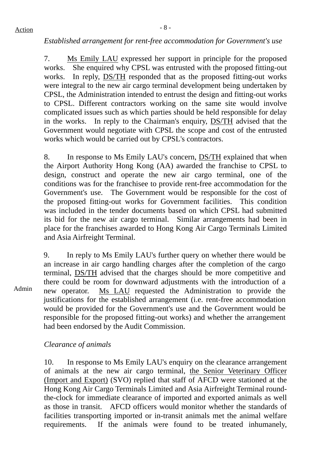#### *Established arrangement for rent-free accommodation for Government's use*

7. Ms Emily LAU expressed her support in principle for the proposed works. She enquired why CPSL was entrusted with the proposed fitting-out works. In reply, DS/TH responded that as the proposed fitting-out works were integral to the new air cargo terminal development being undertaken by CPSL, the Administration intended to entrust the design and fitting-out works to CPSL. Different contractors working on the same site would involve complicated issues such as which parties should be held responsible for delay in the works. In reply to the Chairman's enquiry, DS/TH advised that the Government would negotiate with CPSL the scope and cost of the entrusted works which would be carried out by CPSL's contractors.

8. In response to Ms Emily LAU's concern, DS/TH explained that when the Airport Authority Hong Kong (AA) awarded the franchise to CPSL to design, construct and operate the new air cargo terminal, one of the conditions was for the franchisee to provide rent-free accommodation for the Government's use. The Government would be responsible for the cost of the proposed fitting-out works for Government facilities. This condition was included in the tender documents based on which CPSL had submitted its bid for the new air cargo terminal. Similar arrangements had been in place for the franchises awarded to Hong Kong Air Cargo Terminals Limited and Asia Airfreight Terminal.

Admin 9. In reply to Ms Emily LAU's further query on whether there would be an increase in air cargo handling charges after the completion of the cargo terminal, DS/TH advised that the charges should be more competitive and there could be room for downward adjustments with the introduction of a new operator. Ms LAU requested the Administration to provide the justifications for the established arrangement (i.e. rent-free accommodation would be provided for the Government's use and the Government would be responsible for the proposed fitting-out works) and whether the arrangement had been endorsed by the Audit Commission.

## *Clearance of animals*

10. In response to Ms Emily LAU's enquiry on the clearance arrangement of animals at the new air cargo terminal, the Senior Veterinary Officer (Import and Export) (SVO) replied that staff of AFCD were stationed at the Hong Kong Air Cargo Terminals Limited and Asia Airfreight Terminal roundthe-clock for immediate clearance of imported and exported animals as well as those in transit. AFCD officers would monitor whether the standards of facilities transporting imported or in-transit animals met the animal welfare requirements. If the animals were found to be treated inhumanely,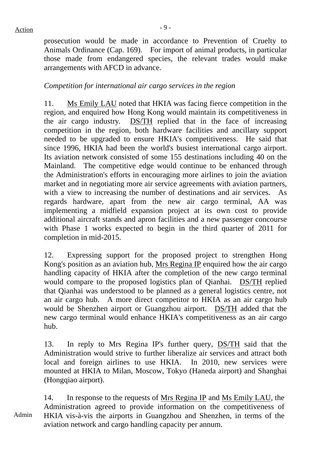prosecution would be made in accordance to Prevention of Cruelty to Animals Ordinance (Cap. 169). For import of animal products, in particular those made from endangered species, the relevant trades would make arrangements with AFCD in advance.

#### *Competition for international air cargo services in the region*

11. Ms Emily LAU noted that HKIA was facing fierce competition in the region, and enquired how Hong Kong would maintain its competitiveness in the air cargo industry. DS/TH replied that in the face of increasing competition in the region, both hardware facilities and ancillary support needed to be upgraded to ensure HKIA's competitiveness. He said that since 1996, HKIA had been the world's busiest international cargo airport. Its aviation network consisted of some 155 destinations including 40 on the Mainland. The competitive edge would continue to be enhanced through the Administration's efforts in encouraging more airlines to join the aviation market and in negotiating more air service agreements with aviation partners, with a view to increasing the number of destinations and air services. As regards hardware, apart from the new air cargo terminal, AA was implementing a midfield expansion project at its own cost to provide additional aircraft stands and apron facilities and a new passenger concourse with Phase 1 works expected to begin in the third quarter of 2011 for completion in mid-2015.

12. Expressing support for the proposed project to strengthen Hong Kong's position as an aviation hub, Mrs Regina IP enquired how the air cargo handling capacity of HKIA after the completion of the new cargo terminal would compare to the proposed logistics plan of Qianhai. DS/TH replied that Qianhai was understood to be planned as a general logistics centre, not an air cargo hub. A more direct competitor to HKIA as an air cargo hub would be Shenzhen airport or Guangzhou airport. DS/TH added that the new cargo terminal would enhance HKIA's competitiveness as an air cargo hub.

13. In reply to Mrs Regina IP's further query, DS/TH said that the Administration would strive to further liberalize air services and attract both local and foreign airlines to use HKIA. In 2010, new services were mounted at HKIA to Milan, Moscow, Tokyo (Haneda airport) and Shanghai (Hongqiao airport).

Admin 14. In response to the requests of Mrs Regina IP and Ms Emily LAU, the Administration agreed to provide information on the competitiveness of HKIA vis-à-vis the airports in Guangzhou and Shenzhen, in terms of the aviation network and cargo handling capacity per annum.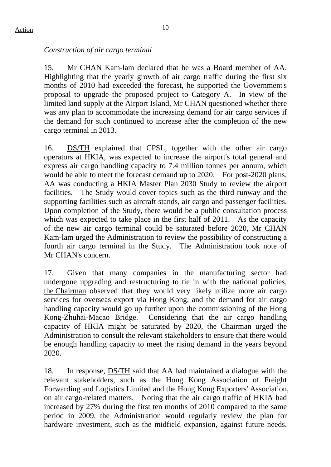## $Action$

## *Construction of air cargo terminal*

15. Mr CHAN Kam-lam declared that he was a Board member of AA. Highlighting that the yearly growth of air cargo traffic during the first six months of 2010 had exceeded the forecast, he supported the Government's proposal to upgrade the proposed project to Category A. In view of the limited land supply at the Airport Island, Mr CHAN questioned whether there was any plan to accommodate the increasing demand for air cargo services if the demand for such continued to increase after the completion of the new cargo terminal in 2013.

16. DS/TH explained that CPSL, together with the other air cargo operators at HKIA, was expected to increase the airport's total general and express air cargo handling capacity to 7.4 million tonnes per annum, which would be able to meet the forecast demand up to 2020. For post-2020 plans, AA was conducting a HKIA Master Plan 2030 Study to review the airport facilities. The Study would cover topics such as the third runway and the supporting facilities such as aircraft stands, air cargo and passenger facilities. Upon completion of the Study, there would be a public consultation process which was expected to take place in the first half of 2011. As the capacity of the new air cargo terminal could be saturated before 2020, Mr CHAN Kam-lam urged the Administration to review the possibility of constructing a fourth air cargo terminal in the Study. The Administration took note of Mr CHAN's concern.

17. Given that many companies in the manufacturing sector had undergone upgrading and restructuring to tie in with the national policies, the Chairman observed that they would very likely utilize more air cargo services for overseas export via Hong Kong, and the demand for air cargo handling capacity would go up further upon the commissioning of the Hong Kong-Zhuhai-Macao Bridge. Considering that the air cargo handling capacity of HKIA might be saturated by 2020, the Chairman urged the Administration to consult the relevant stakeholders to ensure that there would be enough handling capacity to meet the rising demand in the years beyond 2020.

18. In response, DS/TH said that AA had maintained a dialogue with the relevant stakeholders, such as the Hong Kong Association of Freight Forwarding and Logistics Limited and the Hong Kong Exporters' Association, on air cargo-related matters. Noting that the air cargo traffic of HKIA had increased by 27% during the first ten months of 2010 compared to the same period in 2009, the Administration would regularly review the plan for hardware investment, such as the midfield expansion, against future needs.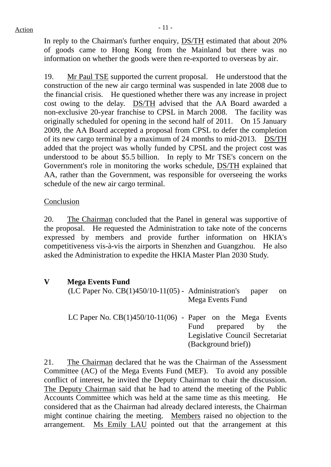In reply to the Chairman's further enquiry, DS/TH estimated that about 20% of goods came to Hong Kong from the Mainland but there was no information on whether the goods were then re-exported to overseas by air.

19. Mr Paul TSE supported the current proposal. He understood that the construction of the new air cargo terminal was suspended in late 2008 due to the financial crisis. He questioned whether there was any increase in project cost owing to the delay. DS/TH advised that the AA Board awarded a non-exclusive 20-year franchise to CPSL in March 2008. The facility was originally scheduled for opening in the second half of 2011. On 15 January 2009, the AA Board accepted a proposal from CPSL to defer the completion of its new cargo terminal by a maximum of 24 months to mid-2013. DS/TH added that the project was wholly funded by CPSL and the project cost was understood to be about \$5.5 billion. In reply to Mr TSE's concern on the Government's role in monitoring the works schedule, DS/TH explained that AA, rather than the Government, was responsible for overseeing the works schedule of the new air cargo terminal.

## Conclusion

20. The Chairman concluded that the Panel in general was supportive of the proposal. He requested the Administration to take note of the concerns expressed by members and provide further information on HKIA's competitiveness vis-à-vis the airports in Shenzhen and Guangzhou. He also asked the Administration to expedite the HKIA Master Plan 2030 Study.

- **V Mega Events Fund** 
	- (LC Paper No.  $CB(1)450/10-11(05)$  Administration's paper on Mega Events Fund
	- LC Paper No. CB(1)450/10-11(06) Paper on the Mega Events Fund prepared by the Legislative Council Secretariat (Background brief))

21. The Chairman declared that he was the Chairman of the Assessment Committee (AC) of the Mega Events Fund (MEF). To avoid any possible conflict of interest, he invited the Deputy Chairman to chair the discussion. The Deputy Chairman said that he had to attend the meeting of the Public Accounts Committee which was held at the same time as this meeting. He considered that as the Chairman had already declared interests, the Chairman might continue chairing the meeting. Members raised no objection to the arrangement. Ms Emily LAU pointed out that the arrangement at this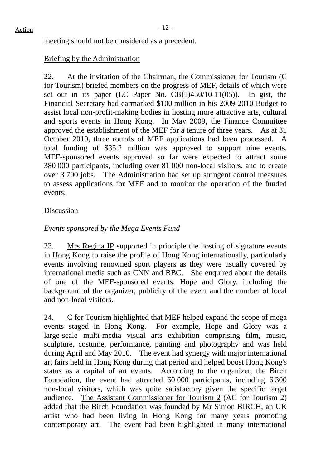meeting should not be considered as a precedent.

## Briefing by the Administration

22. At the invitation of the Chairman, the Commissioner for Tourism (C for Tourism) briefed members on the progress of MEF, details of which were set out in its paper (LC Paper No. CB(1)450/10-11(05)). In gist, the Financial Secretary had earmarked \$100 million in his 2009-2010 Budget to assist local non-profit-making bodies in hosting more attractive arts, cultural and sports events in Hong Kong. In May 2009, the Finance Committee approved the establishment of the MEF for a tenure of three years. As at 31 October 2010, three rounds of MEF applications had been processed. A total funding of \$35.2 million was approved to support nine events. MEF-sponsored events approved so far were expected to attract some 380 000 participants, including over 81 000 non-local visitors, and to create over 3 700 jobs. The Administration had set up stringent control measures to assess applications for MEF and to monitor the operation of the funded events.

## Discussion

## *Events sponsored by the Mega Events Fund*

23. Mrs Regina IP supported in principle the hosting of signature events in Hong Kong to raise the profile of Hong Kong internationally, particularly events involving renowned sport players as they were usually covered by international media such as CNN and BBC. She enquired about the details of one of the MEF-sponsored events, Hope and Glory, including the background of the organizer, publicity of the event and the number of local and non-local visitors.

24. C for Tourism highlighted that MEF helped expand the scope of mega events staged in Hong Kong. For example, Hope and Glory was a large-scale multi-media visual arts exhibition comprising film, music, sculpture, costume, performance, painting and photography and was held during April and May 2010. The event had synergy with major international art fairs held in Hong Kong during that period and helped boost Hong Kong's status as a capital of art events. According to the organizer, the Birch Foundation, the event had attracted 60 000 participants, including 6 300 non-local visitors, which was quite satisfactory given the specific target audience. The Assistant Commissioner for Tourism 2 (AC for Tourism 2) added that the Birch Foundation was founded by Mr Simon BIRCH, an UK artist who had been living in Hong Kong for many years promoting contemporary art. The event had been highlighted in many international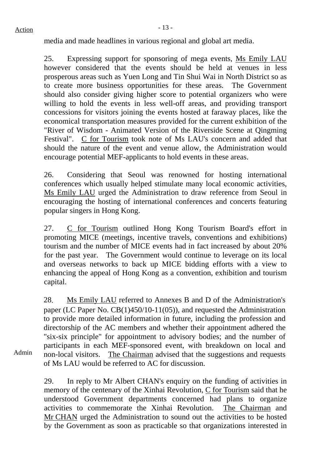Admin

media and made headlines in various regional and global art media.

25. Expressing support for sponsoring of mega events, Ms Emily LAU however considered that the events should be held at venues in less prosperous areas such as Yuen Long and Tin Shui Wai in North District so as to create more business opportunities for these areas. The Government should also consider giving higher score to potential organizers who were willing to hold the events in less well-off areas, and providing transport concessions for visitors joining the events hosted at faraway places, like the economical transportation measures provided for the current exhibition of the "River of Wisdom - Animated Version of the Riverside Scene at Qingming Festival". C for Tourism took note of Ms LAU's concern and added that should the nature of the event and venue allow, the Administration would encourage potential MEF-applicants to hold events in these areas.

26. Considering that Seoul was renowned for hosting international conferences which usually helped stimulate many local economic activities, Ms Emily LAU urged the Administration to draw reference from Seoul in encouraging the hosting of international conferences and concerts featuring popular singers in Hong Kong.

27. C for Tourism outlined Hong Kong Tourism Board's effort in promoting MICE (meetings, incentive travels, conventions and exhibitions) tourism and the number of MICE events had in fact increased by about 20% for the past year. The Government would continue to leverage on its local and overseas networks to back up MICE bidding efforts with a view to enhancing the appeal of Hong Kong as a convention, exhibition and tourism capital.

28. Ms Emily LAU referred to Annexes B and D of the Administration's paper (LC Paper No. CB(1)450/10-11(05)), and requested the Administration to provide more detailed information in future, including the profession and directorship of the AC members and whether their appointment adhered the "six-six principle" for appointment to advisory bodies; and the number of participants in each MEF-sponsored event, with breakdown on local and non-local visitors. The Chairman advised that the suggestions and requests of Ms LAU would be referred to AC for discussion.

29. In reply to Mr Albert CHAN's enquiry on the funding of activities in memory of the centenary of the Xinhai Revolution, C for Tourism said that he understood Government departments concerned had plans to organize activities to commemorate the Xinhai Revolution. The Chairman and Mr CHAN urged the Administration to sound out the activities to be hosted by the Government as soon as practicable so that organizations interested in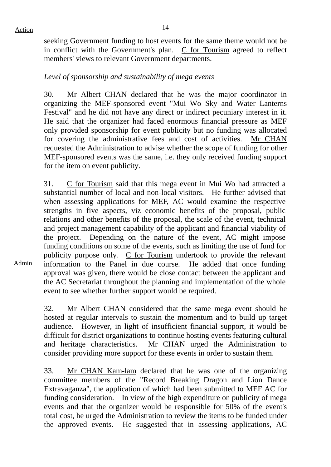seeking Government funding to host events for the same theme would not be in conflict with the Government's plan. C for Tourism agreed to reflect members' views to relevant Government departments.

## *Level of sponsorship and sustainability of mega events*

30. Mr Albert CHAN declared that he was the major coordinator in organizing the MEF-sponsored event "Mui Wo Sky and Water Lanterns Festival" and he did not have any direct or indirect pecuniary interest in it. He said that the organizer had faced enormous financial pressure as MEF only provided sponsorship for event publicity but no funding was allocated for covering the administrative fees and cost of activities. Mr CHAN requested the Administration to advise whether the scope of funding for other MEF-sponsored events was the same, i.e. they only received funding support for the item on event publicity.

31. C for Tourism said that this mega event in Mui Wo had attracted a substantial number of local and non-local visitors. He further advised that when assessing applications for MEF, AC would examine the respective strengths in five aspects, viz economic benefits of the proposal, public relations and other benefits of the proposal, the scale of the event, technical and project management capability of the applicant and financial viability of the project. Depending on the nature of the event, AC might impose funding conditions on some of the events, such as limiting the use of fund for publicity purpose only.  $C$  for Tourism undertook to provide the relevant information to the Panel in due course. He added that once funding approval was given, there would be close contact between the applicant and the AC Secretariat throughout the planning and implementation of the whole event to see whether further support would be required.

32. Mr Albert CHAN considered that the same mega event should be hosted at regular intervals to sustain the momentum and to build up target audience. However, in light of insufficient financial support, it would be difficult for district organizations to continue hosting events featuring cultural and heritage characteristics. Mr CHAN urged the Administration to consider providing more support for these events in order to sustain them.

33. Mr CHAN Kam-lam declared that he was one of the organizing committee members of the "Record Breaking Dragon and Lion Dance Extravaganza", the application of which had been submitted to MEF AC for funding consideration. In view of the high expenditure on publicity of mega events and that the organizer would be responsible for 50% of the event's total cost, he urged the Administration to review the items to be funded under the approved events. He suggested that in assessing applications, AC

Admin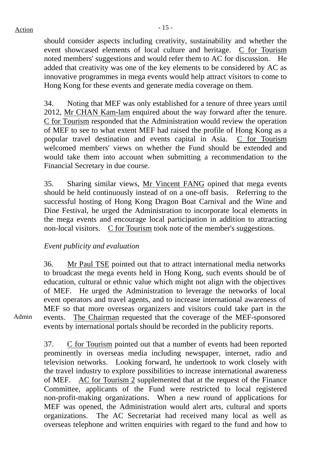$Action$ 

should consider aspects including creativity, sustainability and whether the event showcased elements of local culture and heritage. C for Tourism noted members' suggestions and would refer them to AC for discussion. He added that creativity was one of the key elements to be considered by AC as innovative programmes in mega events would help attract visitors to come to Hong Kong for these events and generate media coverage on them.

34. Noting that MEF was only established for a tenure of three years until 2012, Mr CHAN Kam-lam enquired about the way forward after the tenure. C for Tourism responded that the Administration would review the operation of MEF to see to what extent MEF had raised the profile of Hong Kong as a popular travel destination and events capital in Asia. C for Tourism welcomed members' views on whether the Fund should be extended and would take them into account when submitting a recommendation to the Financial Secretary in due course.

35. Sharing similar views, Mr Vincent FANG opined that mega events should be held continuously instead of on a one-off basis. Referring to the successful hosting of Hong Kong Dragon Boat Carnival and the Wine and Dine Festival, he urged the Administration to incorporate local elements in the mega events and encourage local participation in addition to attracting non-local visitors. C for Tourism took note of the member's suggestions.

## *Event publicity and evaluation*

36. Mr Paul TSE pointed out that to attract international media networks to broadcast the mega events held in Hong Kong, such events should be of education, cultural or ethnic value which might not align with the objectives of MEF. He urged the Administration to leverage the networks of local event operators and travel agents, and to increase international awareness of MEF so that more overseas organizers and visitors could take part in the events. The Chairman requested that the coverage of the MEF-sponsored events by international portals should be recorded in the publicity reports.

Admin

37. C for Tourism pointed out that a number of events had been reported prominently in overseas media including newspaper, internet, radio and television networks. Looking forward, he undertook to work closely with the travel industry to explore possibilities to increase international awareness of MEF. AC for Tourism 2 supplemented that at the request of the Finance Committee, applicants of the Fund were restricted to local registered non-profit-making organizations. When a new round of applications for MEF was opened, the Administration would alert arts, cultural and sports organizations. The AC Secretariat had received many local as well as overseas telephone and written enquiries with regard to the fund and how to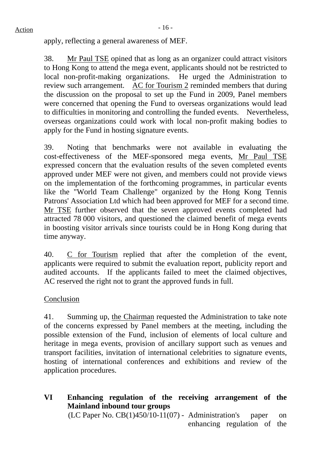apply, reflecting a general awareness of MEF.

38. Mr Paul TSE opined that as long as an organizer could attract visitors to Hong Kong to attend the mega event, applicants should not be restricted to local non-profit-making organizations. He urged the Administration to review such arrangement. AC for Tourism 2 reminded members that during the discussion on the proposal to set up the Fund in 2009, Panel members were concerned that opening the Fund to overseas organizations would lead to difficulties in monitoring and controlling the funded events. Nevertheless, overseas organizations could work with local non-profit making bodies to apply for the Fund in hosting signature events.

39. Noting that benchmarks were not available in evaluating the cost-effectiveness of the MEF-sponsored mega events, Mr Paul TSE expressed concern that the evaluation results of the seven completed events approved under MEF were not given, and members could not provide views on the implementation of the forthcoming programmes, in particular events like the "World Team Challenge" organized by the Hong Kong Tennis Patrons' Association Ltd which had been approved for MEF for a second time. Mr TSE further observed that the seven approved events completed had attracted 78 000 visitors, and questioned the claimed benefit of mega events in boosting visitor arrivals since tourists could be in Hong Kong during that time anyway.

40. C for Tourism replied that after the completion of the event, applicants were required to submit the evaluation report, publicity report and audited accounts. If the applicants failed to meet the claimed objectives, AC reserved the right not to grant the approved funds in full.

## Conclusion

41. Summing up, the Chairman requested the Administration to take note of the concerns expressed by Panel members at the meeting, including the possible extension of the Fund, inclusion of elements of local culture and heritage in mega events, provision of ancillary support such as venues and transport facilities, invitation of international celebrities to signature events, hosting of international conferences and exhibitions and review of the application procedures.

**VI Enhancing regulation of the receiving arrangement of the Mainland inbound tour groups**  (LC Paper No.  $CB(1)450/10-11(07)$  - Administration's paper on enhancing regulation of the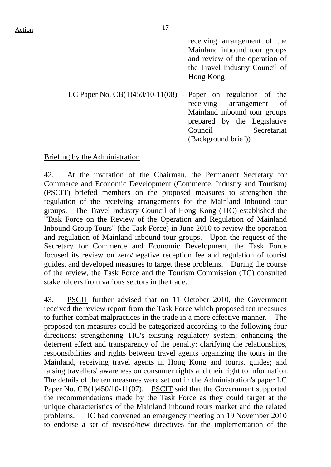receiving arrangement of the Mainland inbound tour groups and review of the operation of the Travel Industry Council of Hong Kong

LC Paper No. CB(1)450/10-11(08) - Paper on regulation of the receiving arrangement of Mainland inbound tour groups prepared by the Legislative Council Secretariat (Background brief))

#### Briefing by the Administration

42. At the invitation of the Chairman, the Permanent Secretary for Commerce and Economic Development (Commerce, Industry and Tourism) (PSCIT) briefed members on the proposed measures to strengthen the regulation of the receiving arrangements for the Mainland inbound tour groups. The Travel Industry Council of Hong Kong (TIC) established the "Task Force on the Review of the Operation and Regulation of Mainland Inbound Group Tours" (the Task Force) in June 2010 to review the operation and regulation of Mainland inbound tour groups. Upon the request of the Secretary for Commerce and Economic Development, the Task Force focused its review on zero/negative reception fee and regulation of tourist guides, and developed measures to target these problems. During the course of the review, the Task Force and the Tourism Commission (TC) consulted stakeholders from various sectors in the trade.

43. PSCIT further advised that on 11 October 2010, the Government received the review report from the Task Force which proposed ten measures to further combat malpractices in the trade in a more effective manner. The proposed ten measures could be categorized according to the following four directions: strengthening TIC's existing regulatory system; enhancing the deterrent effect and transparency of the penalty; clarifying the relationships, responsibilities and rights between travel agents organizing the tours in the Mainland, receiving travel agents in Hong Kong and tourist guides; and raising travellers' awareness on consumer rights and their right to information. The details of the ten measures were set out in the Administration's paper LC Paper No. CB(1)450/10-11(07). PSCIT said that the Government supported the recommendations made by the Task Force as they could target at the unique characteristics of the Mainland inbound tours market and the related problems. TIC had convened an emergency meeting on 19 November 2010 to endorse a set of revised/new directives for the implementation of the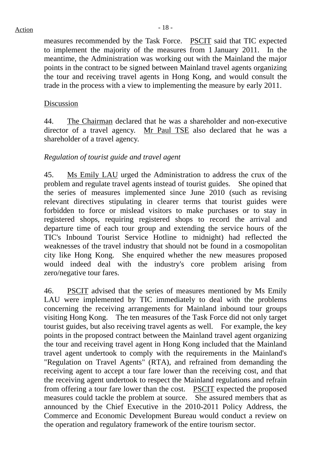measures recommended by the Task Force. PSCIT said that TIC expected to implement the majority of the measures from 1 January 2011. In the meantime, the Administration was working out with the Mainland the major points in the contract to be signed between Mainland travel agents organizing the tour and receiving travel agents in Hong Kong, and would consult the trade in the process with a view to implementing the measure by early 2011.

## Discussion

44. The Chairman declared that he was a shareholder and non-executive director of a travel agency. Mr Paul TSE also declared that he was a shareholder of a travel agency.

## *Regulation of tourist guide and travel agent*

45. Ms Emily LAU urged the Administration to address the crux of the problem and regulate travel agents instead of tourist guides. She opined that the series of measures implemented since June 2010 (such as revising relevant directives stipulating in clearer terms that tourist guides were forbidden to force or mislead visitors to make purchases or to stay in registered shops, requiring registered shops to record the arrival and departure time of each tour group and extending the service hours of the TIC's Inbound Tourist Service Hotline to midnight) had reflected the weaknesses of the travel industry that should not be found in a cosmopolitan city like Hong Kong. She enquired whether the new measures proposed would indeed deal with the industry's core problem arising from zero/negative tour fares.

46. PSCIT advised that the series of measures mentioned by Ms Emily LAU were implemented by TIC immediately to deal with the problems concerning the receiving arrangements for Mainland inbound tour groups visiting Hong Kong. The ten measures of the Task Force did not only target tourist guides, but also receiving travel agents as well. For example, the key points in the proposed contract between the Mainland travel agent organizing the tour and receiving travel agent in Hong Kong included that the Mainland travel agent undertook to comply with the requirements in the Mainland's "Regulation on Travel Agents" (RTA), and refrained from demanding the receiving agent to accept a tour fare lower than the receiving cost, and that the receiving agent undertook to respect the Mainland regulations and refrain from offering a tour fare lower than the cost. PSCIT expected the proposed measures could tackle the problem at source. She assured members that as announced by the Chief Executive in the 2010-2011 Policy Address, the Commerce and Economic Development Bureau would conduct a review on the operation and regulatory framework of the entire tourism sector.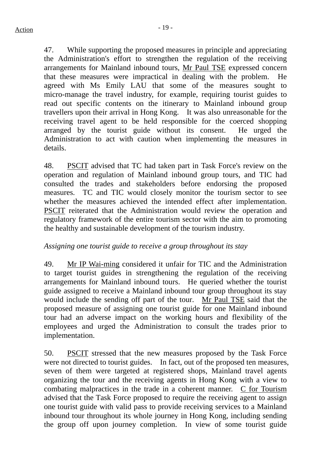47. While supporting the proposed measures in principle and appreciating the Administration's effort to strengthen the regulation of the receiving arrangements for Mainland inbound tours, Mr Paul TSE expressed concern that these measures were impractical in dealing with the problem. He agreed with Ms Emily LAU that some of the measures sought to micro-manage the travel industry, for example, requiring tourist guides to read out specific contents on the itinerary to Mainland inbound group travellers upon their arrival in Hong Kong. It was also unreasonable for the receiving travel agent to be held responsible for the coerced shopping arranged by the tourist guide without its consent. He urged the Administration to act with caution when implementing the measures in details.

48. PSCIT advised that TC had taken part in Task Force's review on the operation and regulation of Mainland inbound group tours, and TIC had consulted the trades and stakeholders before endorsing the proposed measures. TC and TIC would closely monitor the tourism sector to see whether the measures achieved the intended effect after implementation. PSCIT reiterated that the Administration would review the operation and regulatory framework of the entire tourism sector with the aim to promoting the healthy and sustainable development of the tourism industry.

## *Assigning one tourist guide to receive a group throughout its stay*

49. Mr IP Wai-ming considered it unfair for TIC and the Administration to target tourist guides in strengthening the regulation of the receiving arrangements for Mainland inbound tours. He queried whether the tourist guide assigned to receive a Mainland inbound tour group throughout its stay would include the sending off part of the tour. Mr Paul TSE said that the proposed measure of assigning one tourist guide for one Mainland inbound tour had an adverse impact on the working hours and flexibility of the employees and urged the Administration to consult the trades prior to implementation.

50. PSCIT stressed that the new measures proposed by the Task Force were not directed to tourist guides. In fact, out of the proposed ten measures, seven of them were targeted at registered shops, Mainland travel agents organizing the tour and the receiving agents in Hong Kong with a view to combating malpractices in the trade in a coherent manner. C for Tourism advised that the Task Force proposed to require the receiving agent to assign one tourist guide with valid pass to provide receiving services to a Mainland inbound tour throughout its whole journey in Hong Kong, including sending the group off upon journey completion. In view of some tourist guide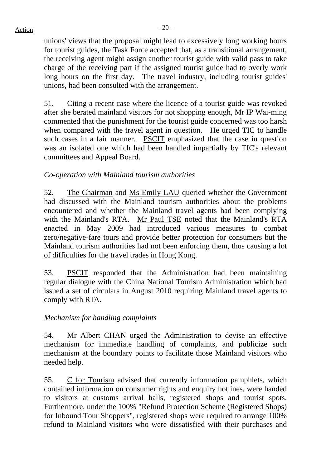$Action$ 

unions' views that the proposal might lead to excessively long working hours for tourist guides, the Task Force accepted that, as a transitional arrangement, the receiving agent might assign another tourist guide with valid pass to take charge of the receiving part if the assigned tourist guide had to overly work long hours on the first day. The travel industry, including tourist guides' unions, had been consulted with the arrangement.

51. Citing a recent case where the licence of a tourist guide was revoked after she berated mainland visitors for not shopping enough, Mr IP Wai-ming commented that the punishment for the tourist guide concerned was too harsh when compared with the travel agent in question. He urged TIC to handle such cases in a fair manner. PSCIT emphasized that the case in question was an isolated one which had been handled impartially by TIC's relevant committees and Appeal Board.

## *Co-operation with Mainland tourism authorities*

52. The Chairman and Ms Emily LAU queried whether the Government had discussed with the Mainland tourism authorities about the problems encountered and whether the Mainland travel agents had been complying with the Mainland's RTA. Mr Paul TSE noted that the Mainland's RTA enacted in May 2009 had introduced various measures to combat zero/negative-fare tours and provide better protection for consumers but the Mainland tourism authorities had not been enforcing them, thus causing a lot of difficulties for the travel trades in Hong Kong.

53. PSCIT responded that the Administration had been maintaining regular dialogue with the China National Tourism Administration which had issued a set of circulars in August 2010 requiring Mainland travel agents to comply with RTA.

## *Mechanism for handling complaints*

54. Mr Albert CHAN urged the Administration to devise an effective mechanism for immediate handling of complaints, and publicize such mechanism at the boundary points to facilitate those Mainland visitors who needed help.

55. C for Tourism advised that currently information pamphlets, which contained information on consumer rights and enquiry hotlines, were handed to visitors at customs arrival halls, registered shops and tourist spots. Furthermore, under the 100% "Refund Protection Scheme (Registered Shops) for Inbound Tour Shoppers", registered shops were required to arrange 100% refund to Mainland visitors who were dissatisfied with their purchases and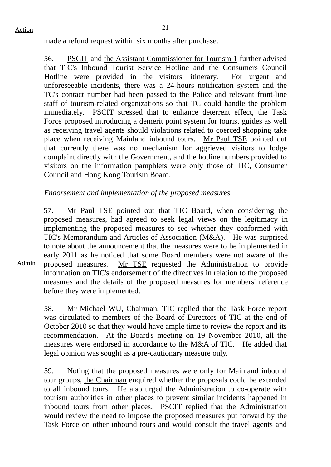Admin

made a refund request within six months after purchase.

56. PSCIT and the Assistant Commissioner for Tourism 1 further advised that TIC's Inbound Tourist Service Hotline and the Consumers Council Hotline were provided in the visitors' itinerary. For urgent and unforeseeable incidents, there was a 24-hours notification system and the TC's contact number had been passed to the Police and relevant front-line staff of tourism-related organizations so that TC could handle the problem immediately. PSCIT stressed that to enhance deterrent effect, the Task Force proposed introducing a demerit point system for tourist guides as well as receiving travel agents should violations related to coerced shopping take place when receiving Mainland inbound tours. Mr Paul TSE pointed out that currently there was no mechanism for aggrieved visitors to lodge complaint directly with the Government, and the hotline numbers provided to visitors on the information pamphlets were only those of TIC, Consumer Council and Hong Kong Tourism Board.

## *Endorsement and implementation of the proposed measures*

57. Mr Paul TSE pointed out that TIC Board, when considering the proposed measures, had agreed to seek legal views on the legitimacy in implementing the proposed measures to see whether they conformed with TIC's Memorandum and Articles of Association (M&A). He was surprised to note about the announcement that the measures were to be implemented in early 2011 as he noticed that some Board members were not aware of the proposed measures. Mr TSE requested the Administration to provide information on TIC's endorsement of the directives in relation to the proposed measures and the details of the proposed measures for members' reference before they were implemented.

58. Mr Michael WU, Chairman, TIC replied that the Task Force report was circulated to members of the Board of Directors of TIC at the end of October 2010 so that they would have ample time to review the report and its recommendation. At the Board's meeting on 19 November 2010, all the measures were endorsed in accordance to the M&A of TIC. He added that legal opinion was sought as a pre-cautionary measure only.

59. Noting that the proposed measures were only for Mainland inbound tour groups, the Chairman enquired whether the proposals could be extended to all inbound tours. He also urged the Administration to co-operate with tourism authorities in other places to prevent similar incidents happened in inbound tours from other places. PSCIT replied that the Administration would review the need to impose the proposed measures put forward by the Task Force on other inbound tours and would consult the travel agents and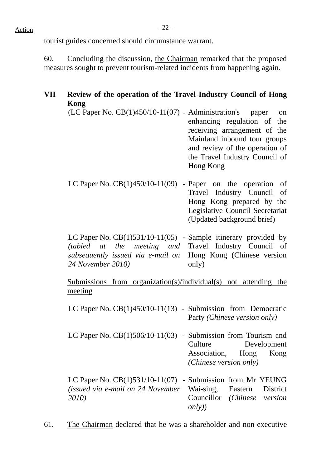## $Action$

tourist guides concerned should circumstance warrant.

60. Concluding the discussion, the Chairman remarked that the proposed measures sought to prevent tourism-related incidents from happening again.

## **VII Review of the operation of the Travel Industry Council of Hong Kong**

- (LC Paper No. CB(1)450/10-11(07) **-** Administration's paper on enhancing regulation of the receiving arrangement of the Mainland inbound tour groups and review of the operation of the Travel Industry Council of Hong Kong
- LC Paper No. CB(1)450/10-11(09) **-** Paper on the operation of Travel Industry Council of Hong Kong prepared by the Legislative Council Secretariat (Updated background brief)

LC Paper No. CB(1)531/10-11(05) **-** Sample itinerary provided by *(tabled at the meeting) subsequently issued via e-mail on*  Hong Kong (Chinese version *24 November 2010)*  and Travel Industry Council of only)

Submissions from organization(s)/individual(s) not attending the meeting

- LC Paper No. CB(1)450/10-11(13) Submission from Democratic Party *(Chinese version only)*
- LC Paper No. CB(1)506/10-11(03) Submission from Tourism and Culture Development Association, Hong Kong *(Chinese version only)*

LC Paper No. CB(1)531/10-11(07) **-** Submission from Mr YEUNG *(issued via e-mail on 24 November* Wai-sing, Eastern District *2010)* Councillor *(Chinese version only)*)

61. The Chairman declared that he was a shareholder and non-executive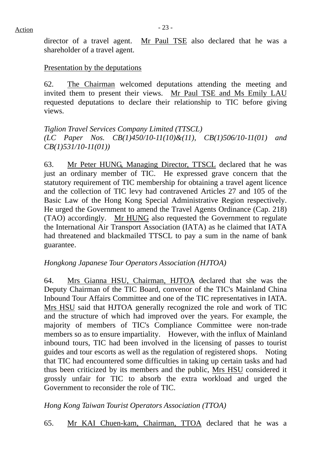director of a travel agent. Mr Paul TSE also declared that he was a shareholder of a travel agent.

#### Presentation by the deputations

62. The Chairman welcomed deputations attending the meeting and invited them to present their views. Mr Paul TSE and Ms Emily LAU requested deputations to declare their relationship to TIC before giving views.

*Tiglion Travel Services Company Limited (TTSCL) (LC Paper Nos. CB(1)450/10-11(10)&(11), CB(1)506/10-11(01) and CB(1)531/10-11(01))* 

63. Mr Peter HUNG, Managing Director, TTSCL declared that he was just an ordinary member of TIC. He expressed grave concern that the statutory requirement of TIC membership for obtaining a travel agent licence and the collection of TIC levy had contravened Articles 27 and 105 of the Basic Law of the Hong Kong Special Administrative Region respectively. He urged the Government to amend the Travel Agents Ordinance (Cap. 218) (TAO) accordingly. Mr HUNG also requested the Government to regulate the International Air Transport Association (IATA) as he claimed that IATA had threatened and blackmailed TTSCL to pay a sum in the name of bank guarantee.

## *Hongkong Japanese Tour Operators Association (HJTOA)*

64. Mrs Gianna HSU, Chairman, HJTOA declared that she was the Deputy Chairman of the TIC Board, convenor of the TIC's Mainland China Inbound Tour Affairs Committee and one of the TIC representatives in IATA. Mrs HSU said that HJTOA generally recognized the role and work of TIC and the structure of which had improved over the years. For example, the majority of members of TIC's Compliance Committee were non-trade members so as to ensure impartiality. However, with the influx of Mainland inbound tours, TIC had been involved in the licensing of passes to tourist guides and tour escorts as well as the regulation of registered shops. Noting that TIC had encountered some difficulties in taking up certain tasks and had thus been criticized by its members and the public, Mrs HSU considered it grossly unfair for TIC to absorb the extra workload and urged the Government to reconsider the role of TIC.

## *Hong Kong Taiwan Tourist Operators Association (TTOA)*

65. Mr KAI Chuen-kam, Chairman, TTOA declared that he was a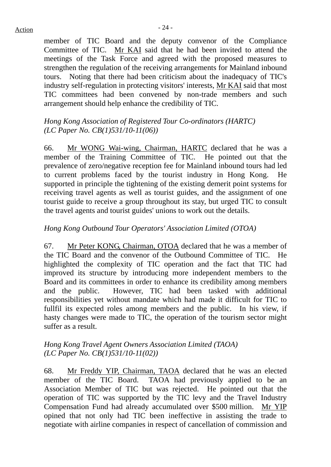member of TIC Board and the deputy convenor of the Compliance Committee of TIC. Mr KAI said that he had been invited to attend the meetings of the Task Force and agreed with the proposed measures to strengthen the regulation of the receiving arrangements for Mainland inbound tours. Noting that there had been criticism about the inadequacy of TIC's industry self-regulation in protecting visitors' interests, Mr KAI said that most TIC committees had been convened by non-trade members and such arrangement should help enhance the credibility of TIC.

## *Hong Kong Association of Registered Tour Co-ordinators (HARTC) (LC Paper No. CB(1)531/10-11(06))*

66. Mr WONG Wai-wing, Chairman, HARTC declared that he was a member of the Training Committee of TIC. He pointed out that the prevalence of zero/negative reception fee for Mainland inbound tours had led to current problems faced by the tourist industry in Hong Kong. He supported in principle the tightening of the existing demerit point systems for receiving travel agents as well as tourist guides, and the assignment of one tourist guide to receive a group throughout its stay, but urged TIC to consult the travel agents and tourist guides' unions to work out the details.

## *Hong Kong Outbound Tour Operators' Association Limited (OTOA)*

67. Mr Peter KONG, Chairman, OTOA declared that he was a member of the TIC Board and the convenor of the Outbound Committee of TIC. He highlighted the complexity of TIC operation and the fact that TIC had improved its structure by introducing more independent members to the Board and its committees in order to enhance its credibility among members and the public. However, TIC had been tasked with additional responsibilities yet without mandate which had made it difficult for TIC to fullfil its expected roles among members and the public. In his view, if hasty changes were made to TIC, the operation of the tourism sector might suffer as a result.

## *Hong Kong Travel Agent Owners Association Limited (TAOA) (LC Paper No. CB(1)531/10-11(02))*

68. Mr Freddy YIP, Chairman, TAOA declared that he was an elected member of the TIC Board. TAOA had previously applied to be an Association Member of TIC but was rejected. He pointed out that the operation of TIC was supported by the TIC levy and the Travel Industry Compensation Fund had already accumulated over \$500 million. Mr YIP opined that not only had TIC been ineffective in assisting the trade to negotiate with airline companies in respect of cancellation of commission and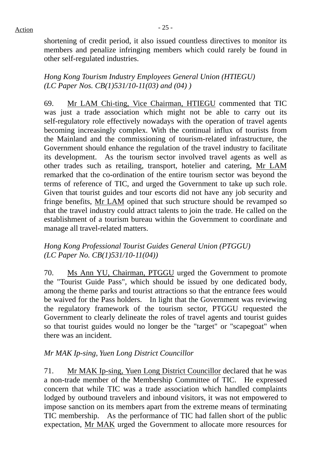shortening of credit period, it also issued countless directives to monitor its members and penalize infringing members which could rarely be found in other self-regulated industries.

*Hong Kong Tourism Industry Employees General Union (HTIEGU) (LC Paper Nos. CB(1)531/10-11(03) and (04) )* 

69. Mr LAM Chi-ting, Vice Chairman, HTIEGU commented that TIC was just a trade association which might not be able to carry out its self-regulatory role effectively nowadays with the operation of travel agents becoming increasingly complex. With the continual influx of tourists from the Mainland and the commissioning of tourism-related infrastructure, the Government should enhance the regulation of the travel industry to facilitate its development. As the tourism sector involved travel agents as well as other trades such as retailing, transport, hotelier and catering, Mr LAM remarked that the co-ordination of the entire tourism sector was beyond the terms of reference of TIC, and urged the Government to take up such role. Given that tourist guides and tour escorts did not have any job security and fringe benefits, Mr LAM opined that such structure should be revamped so that the travel industry could attract talents to join the trade. He called on the establishment of a tourism bureau within the Government to coordinate and manage all travel-related matters.

*Hong Kong Professional Tourist Guides General Union (PTGGU) (LC Paper No. CB(1)531/10-11(04))* 

70. Ms Ann YU, Chairman, PTGGU urged the Government to promote the "Tourist Guide Pass", which should be issued by one dedicated body, among the theme parks and tourist attractions so that the entrance fees would be waived for the Pass holders. In light that the Government was reviewing the regulatory framework of the tourism sector, PTGGU requested the Government to clearly delineate the roles of travel agents and tourist guides so that tourist guides would no longer be the "target" or "scapegoat" when there was an incident.

## *Mr MAK Ip-sing, Yuen Long District Councillor*

71. Mr MAK Ip-sing, Yuen Long District Councillor declared that he was a non-trade member of the Membership Committee of TIC. He expressed concern that while TIC was a trade association which handled complaints lodged by outbound travelers and inbound visitors, it was not empowered to impose sanction on its members apart from the extreme means of terminating TIC membership. As the performance of TIC had fallen short of the public expectation, Mr MAK urged the Government to allocate more resources for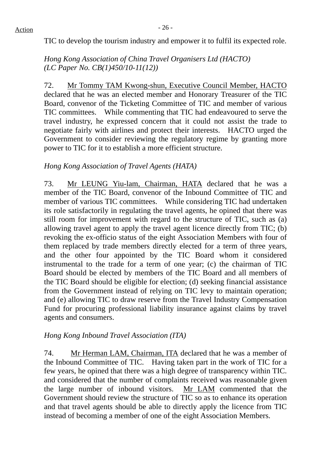TIC to develop the tourism industry and empower it to fulfil its expected role.

*Hong Kong Association of China Travel Organisers Ltd (HACTO) (LC Paper No. CB(1)450/10-11(12))* 

72. Mr Tommy TAM Kwong-shun, Executive Council Member, HACTO declared that he was an elected member and Honorary Treasurer of the TIC Board, convenor of the Ticketing Committee of TIC and member of various TIC committees. While commenting that TIC had endeavoured to serve the travel industry, he expressed concern that it could not assist the trade to negotiate fairly with airlines and protect their interests. HACTO urged the Government to consider reviewing the regulatory regime by granting more power to TIC for it to establish a more efficient structure.

## *Hong Kong Association of Travel Agents (HATA)*

73. Mr LEUNG Yiu-lam, Chairman, HATA declared that he was a member of the TIC Board, convenor of the Inbound Committee of TIC and member of various TIC committees. While considering TIC had undertaken its role satisfactorily in regulating the travel agents, he opined that there was still room for improvement with regard to the structure of TIC, such as (a) allowing travel agent to apply the travel agent licence directly from TIC; (b) revoking the ex-officio status of the eight Association Members with four of them replaced by trade members directly elected for a term of three years, and the other four appointed by the TIC Board whom it considered instrumental to the trade for a term of one year; (c) the chairman of TIC Board should be elected by members of the TIC Board and all members of the TIC Board should be eligible for election; (d) seeking financial assistance from the Government instead of relying on TIC levy to maintain operation; and (e) allowing TIC to draw reserve from the Travel Industry Compensation Fund for procuring professional liability insurance against claims by travel agents and consumers.

## *Hong Kong Inbound Travel Association (ITA)*

74. Mr Herman LAM, Chairman, ITA declared that he was a member of the Inbound Committee of TIC. Having taken part in the work of TIC for a few years, he opined that there was a high degree of transparency within TIC. and considered that the number of complaints received was reasonable given the large number of inbound visitors. Mr LAM commented that the Government should review the structure of TIC so as to enhance its operation and that travel agents should be able to directly apply the licence from TIC instead of becoming a member of one of the eight Association Members.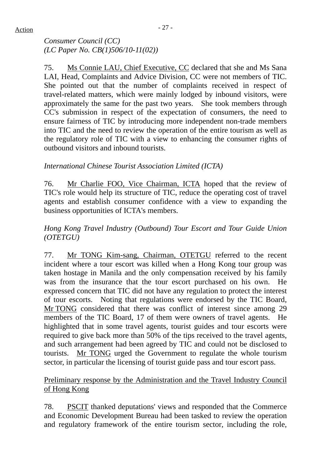## $Action$

*Consumer Council (CC) (LC Paper No. CB(1)506/10-11(02))* 

75. Ms Connie LAU, Chief Executive, CC declared that she and Ms Sana LAI, Head, Complaints and Advice Division, CC were not members of TIC. She pointed out that the number of complaints received in respect of travel-related matters, which were mainly lodged by inbound visitors, were approximately the same for the past two years. She took members through CC's submission in respect of the expectation of consumers, the need to ensure fairness of TIC by introducing more independent non-trade members into TIC and the need to review the operation of the entire tourism as well as the regulatory role of TIC with a view to enhancing the consumer rights of outbound visitors and inbound tourists.

## *International Chinese Tourist Association Limited (ICTA)*

76. Mr Charlie FOO, Vice Chairman, ICTA hoped that the review of TIC's role would help its structure of TIC, reduce the operating cost of travel agents and establish consumer confidence with a view to expanding the business opportunities of ICTA's members.

## *Hong Kong Travel Industry (Outbound) Tour Escort and Tour Guide Union (OTETGU)*

77. Mr TONG Kim-sang, Chairman, OTETGU referred to the recent incident where a tour escort was killed when a Hong Kong tour group was taken hostage in Manila and the only compensation received by his family was from the insurance that the tour escort purchased on his own. expressed concern that TIC did not have any regulation to protect the interest of tour escorts. Noting that regulations were endorsed by the TIC Board, Mr TONG considered that there was conflict of interest since among 29 members of the TIC Board, 17 of them were owners of travel agents. He highlighted that in some travel agents, tourist guides and tour escorts were required to give back more than 50% of the tips received to the travel agents, and such arrangement had been agreed by TIC and could not be disclosed to tourists. Mr TONG urged the Government to regulate the whole tourism sector, in particular the licensing of tourist guide pass and tour escort pass.

## Preliminary response by the Administration and the Travel Industry Council of Hong Kong

78. PSCIT thanked deputations' views and responded that the Commerce and Economic Development Bureau had been tasked to review the operation and regulatory framework of the entire tourism sector, including the role,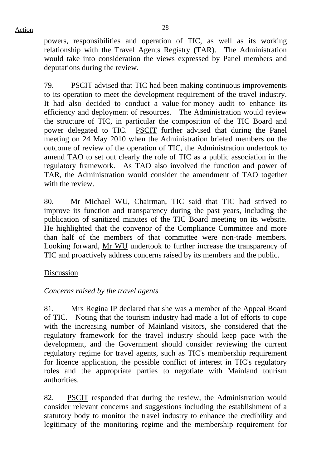powers, responsibilities and operation of TIC, as well as its working relationship with the Travel Agents Registry (TAR). The Administration would take into consideration the views expressed by Panel members and deputations during the review.

79. PSCIT advised that TIC had been making continuous improvements to its operation to meet the development requirement of the travel industry. It had also decided to conduct a value-for-money audit to enhance its efficiency and deployment of resources. The Administration would review the structure of TIC, in particular the composition of the TIC Board and power delegated to TIC. PSCIT further advised that during the Panel meeting on 24 May 2010 when the Administration briefed members on the outcome of review of the operation of TIC, the Administration undertook to amend TAO to set out clearly the role of TIC as a public association in the regulatory framework. As TAO also involved the function and power of TAR, the Administration would consider the amendment of TAO together with the review.

80. Mr Michael WU, Chairman, TIC said that TIC had strived to improve its function and transparency during the past years, including the publication of sanitized minutes of the TIC Board meeting on its website. He highlighted that the convenor of the Compliance Committee and more than half of the members of that committee were non-trade members. Looking forward, Mr WU undertook to further increase the transparency of TIC and proactively address concerns raised by its members and the public.

## Discussion

## *Concerns raised by the travel agents*

81. Mrs Regina IP declared that she was a member of the Appeal Board of TIC. Noting that the tourism industry had made a lot of efforts to cope with the increasing number of Mainland visitors, she considered that the regulatory framework for the travel industry should keep pace with the development, and the Government should consider reviewing the current regulatory regime for travel agents, such as TIC's membership requirement for licence application, the possible conflict of interest in TIC's regulatory roles and the appropriate parties to negotiate with Mainland tourism authorities.

82. PSCIT responded that during the review, the Administration would consider relevant concerns and suggestions including the establishment of a statutory body to monitor the travel industry to enhance the credibility and legitimacy of the monitoring regime and the membership requirement for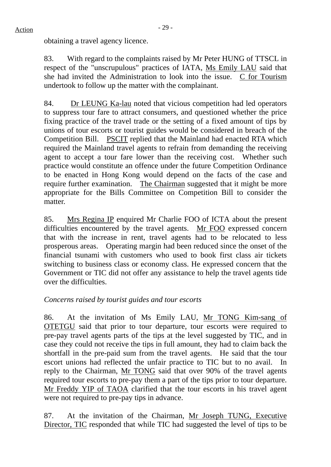obtaining a travel agency licence.

83. With regard to the complaints raised by Mr Peter HUNG of TTSCL in respect of the "unscrupulous" practices of IATA, Ms Emily LAU said that she had invited the Administration to look into the issue. C for Tourism undertook to follow up the matter with the complainant.

84. Dr LEUNG Ka-lau noted that vicious competition had led operators to suppress tour fare to attract consumers, and questioned whether the price fixing practice of the travel trade or the setting of a fixed amount of tips by unions of tour escorts or tourist guides would be considered in breach of the Competition Bill. PSCIT replied that the Mainland had enacted RTA which required the Mainland travel agents to refrain from demanding the receiving agent to accept a tour fare lower than the receiving cost. Whether such practice would constitute an offence under the future Competition Ordinance to be enacted in Hong Kong would depend on the facts of the case and require further examination. The Chairman suggested that it might be more appropriate for the Bills Committee on Competition Bill to consider the matter.

85. Mrs Regina IP enquired Mr Charlie FOO of ICTA about the present difficulties encountered by the travel agents. Mr FOO expressed concern that with the increase in rent, travel agents had to be relocated to less prosperous areas. Operating margin had been reduced since the onset of the financial tsunami with customers who used to book first class air tickets switching to business class or economy class. He expressed concern that the Government or TIC did not offer any assistance to help the travel agents tide over the difficulties.

## *Concerns raised by tourist guides and tour escorts*

86. At the invitation of Ms Emily LAU, Mr TONG Kim-sang of OTETGU said that prior to tour departure, tour escorts were required to pre-pay travel agents parts of the tips at the level suggested by TIC, and in case they could not receive the tips in full amount, they had to claim back the shortfall in the pre-paid sum from the travel agents. He said that the tour escort unions had reflected the unfair practice to TIC but to no avail. In reply to the Chairman, Mr TONG said that over 90% of the travel agents required tour escorts to pre-pay them a part of the tips prior to tour departure. Mr Freddy YIP of TAOA clarified that the tour escorts in his travel agent were not required to pre-pay tips in advance.

87. At the invitation of the Chairman, Mr Joseph TUNG, Executive Director, TIC responded that while TIC had suggested the level of tips to be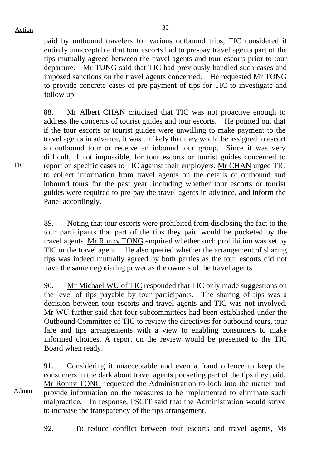paid by outbound travelers for various outbound trips, TIC considered it entirely unacceptable that tour escorts had to pre-pay travel agents part of the tips mutually agreed between the travel agents and tour escorts prior to tour departure. Mr TUNG said that TIC had previously handled such cases and imposed sanctions on the travel agents concerned. He requested Mr TONG to provide concrete cases of pre-payment of tips for TIC to investigate and follow up.

88. Mr Albert CHAN criticized that TIC was not proactive enough to address the concerns of tourist guides and tour escorts. He pointed out that if the tour escorts or tourist guides were unwilling to make payment to the travel agents in advance, it was unlikely that they would be assigned to escort an outbound tour or receive an inbound tour group. Since it was very difficult, if not impossible, for tour escorts or tourist guides concerned to report on specific cases to TIC against their employers, Mr CHAN urged TIC to collect information from travel agents on the details of outbound and inbound tours for the past year, including whether tour escorts or tourist guides were required to pre-pay the travel agents in advance, and inform the Panel accordingly.

89. Noting that tour escorts were prohibited from disclosing the fact to the tour participants that part of the tips they paid would be pocketed by the travel agents, Mr Ronny TONG enquired whether such prohibition was set by TIC or the travel agent. He also queried whether the arrangement of sharing tips was indeed mutually agreed by both parties as the tour escorts did not have the same negotiating power as the owners of the travel agents.

90. Mr Michael WU of TIC responded that TIC only made suggestions on the level of tips payable by tour participants. The sharing of tips was a decision between tour escorts and travel agents and TIC was not involved. Mr WU further said that four subcommittees had been established under the Outbound Committee of TIC to review the directives for outbound tours, tour fare and tips arrangements with a view to enabling consumers to make informed choices. A report on the review would be presented to the TIC Board when ready.

Admin 91. Considering it unacceptable and even a fraud offence to keep the consumers in the dark about travel agents pocketing part of the tips they paid, Mr Ronny TONG requested the Administration to look into the matter and provide information on the measures to be implemented to eliminate such malpractice. In response, PSCIT said that the Administration would strive to increase the transparency of the tips arrangement.

92. To reduce conflict between tour escorts and travel agents, Ms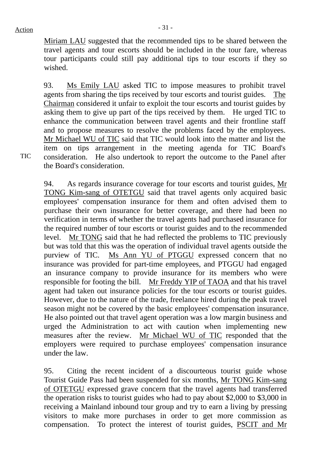Miriam LAU suggested that the recommended tips to be shared between the travel agents and tour escorts should be included in the tour fare, whereas tour participants could still pay additional tips to tour escorts if they so wished.

93. Ms Emily LAU asked TIC to impose measures to prohibit travel agents from sharing the tips received by tour escorts and tourist guides. The Chairman considered it unfair to exploit the tour escorts and tourist guides by asking them to give up part of the tips received by them. He urged TIC to enhance the communication between travel agents and their frontline staff and to propose measures to resolve the problems faced by the employees. Mr Michael WU of TIC said that TIC would look into the matter and list the item on tips arrangement in the meeting agenda for TIC Board's consideration. He also undertook to report the outcome to the Panel after the Board's consideration.

94. As regards insurance coverage for tour escorts and tourist guides, Mr TONG Kim-sang of OTETGU said that travel agents only acquired basic employees' compensation insurance for them and often advised them to purchase their own insurance for better coverage, and there had been no verification in terms of whether the travel agents had purchased insurance for the required number of tour escorts or tourist guides and to the recommended level. Mr TONG said that he had reflected the problems to TIC previously but was told that this was the operation of individual travel agents outside the purview of TIC. Ms Ann YU of PTGGU expressed concern that no insurance was provided for part-time employees, and PTGGU had engaged an insurance company to provide insurance for its members who were responsible for footing the bill. Mr Freddy YIP of TAOA and that his travel agent had taken out insurance policies for the tour escorts or tourist guides. However, due to the nature of the trade, freelance hired during the peak travel season might not be covered by the basic employees' compensation insurance. He also pointed out that travel agent operation was a low margin business and urged the Administration to act with caution when implementing new measures after the review. Mr Michael WU of TIC responded that the employers were required to purchase employees' compensation insurance under the law.

95. Citing the recent incident of a discourteous tourist guide whose Tourist Guide Pass had been suspended for six months, Mr TONG Kim-sang of OTETGU expressed grave concern that the travel agents had transferred the operation risks to tourist guides who had to pay about \$2,000 to \$3,000 in receiving a Mainland inbound tour group and try to earn a living by pressing visitors to make more purchases in order to get more commission as compensation. To protect the interest of tourist guides, PSCIT and Mr

TIC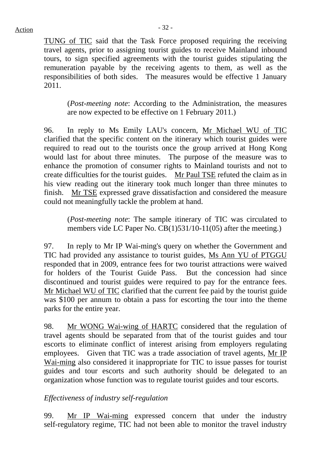TUNG of TIC said that the Task Force proposed requiring the receiving travel agents, prior to assigning tourist guides to receive Mainland inbound tours, to sign specified agreements with the tourist guides stipulating the remuneration payable by the receiving agents to them, as well as the responsibilities of both sides. The measures would be effective 1 January 2011.

(*Post-meeting note*: According to the Administration, the measures are now expected to be effective on 1 February 2011.)

96. In reply to Ms Emily LAU's concern, Mr Michael WU of TIC clarified that the specific content on the itinerary which tourist guides were required to read out to the tourists once the group arrived at Hong Kong would last for about three minutes. The purpose of the measure was to enhance the promotion of consumer rights to Mainland tourists and not to create difficulties for the tourist guides. Mr Paul TSE refuted the claim as in his view reading out the itinerary took much longer than three minutes to finish. Mr TSE expressed grave dissatisfaction and considered the measure could not meaningfully tackle the problem at hand.

(*Post-meeting note*: The sample itinerary of TIC was circulated to members vide LC Paper No. CB(1)531/10-11(05) after the meeting.)

97. In reply to Mr IP Wai-ming's query on whether the Government and TIC had provided any assistance to tourist guides, Ms Ann YU of PTGGU responded that in 2009, entrance fees for two tourist attractions were waived for holders of the Tourist Guide Pass. But the concession had since discontinued and tourist guides were required to pay for the entrance fees. Mr Michael WU of TIC clarified that the current fee paid by the tourist guide was \$100 per annum to obtain a pass for escorting the tour into the theme parks for the entire year.

98. Mr WONG Wai-wing of HARTC considered that the regulation of travel agents should be separated from that of the tourist guides and tour escorts to eliminate conflict of interest arising from employers regulating employees. Given that TIC was a trade association of travel agents, Mr IP Wai-ming also considered it inappropriate for TIC to issue passes for tourist guides and tour escorts and such authority should be delegated to an organization whose function was to regulate tourist guides and tour escorts.

## *Effectiveness of industry self-regulation*

99. Mr IP Wai-ming expressed concern that under the industry self-regulatory regime, TIC had not been able to monitor the travel industry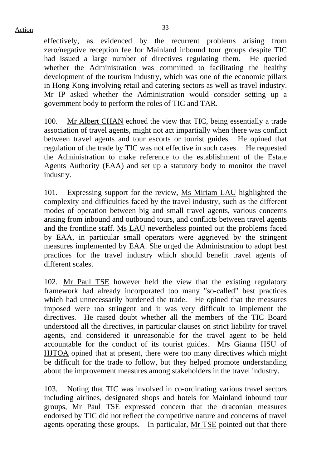effectively, as evidenced by the recurrent problems arising from zero/negative reception fee for Mainland inbound tour groups despite TIC had issued a large number of directives regulating them. He queried whether the Administration was committed to facilitating the healthy development of the tourism industry, which was one of the economic pillars in Hong Kong involving retail and catering sectors as well as travel industry. Mr IP asked whether the Administration would consider setting up a government body to perform the roles of TIC and TAR.

100. Mr Albert CHAN echoed the view that TIC, being essentially a trade association of travel agents, might not act impartially when there was conflict between travel agents and tour escorts or tourist guides. He opined that regulation of the trade by TIC was not effective in such cases. He requested the Administration to make reference to the establishment of the Estate Agents Authority (EAA) and set up a statutory body to monitor the travel industry.

101. Expressing support for the review, Ms Miriam LAU highlighted the complexity and difficulties faced by the travel industry, such as the different modes of operation between big and small travel agents, various concerns arising from inbound and outbound tours, and conflicts between travel agents and the frontline staff. Ms LAU nevertheless pointed out the problems faced by EAA, in particular small operators were aggrieved by the stringent measures implemented by EAA. She urged the Administration to adopt best practices for the travel industry which should benefit travel agents of different scales.

102. Mr Paul TSE however held the view that the existing regulatory framework had already incorporated too many "so-called" best practices which had unnecessarily burdened the trade. He opined that the measures imposed were too stringent and it was very difficult to implement the directives. He raised doubt whether all the members of the TIC Board understood all the directives, in particular clauses on strict liability for travel agents, and considered it unreasonable for the travel agent to be held accountable for the conduct of its tourist guides. Mrs Gianna HSU of HJTOA opined that at present, there were too many directives which might be difficult for the trade to follow, but they helped promote understanding about the improvement measures among stakeholders in the travel industry.

103. Noting that TIC was involved in co-ordinating various travel sectors including airlines, designated shops and hotels for Mainland inbound tour groups, Mr Paul TSE expressed concern that the draconian measures endorsed by TIC did not reflect the competitive nature and concerns of travel agents operating these groups. In particular, Mr TSE pointed out that there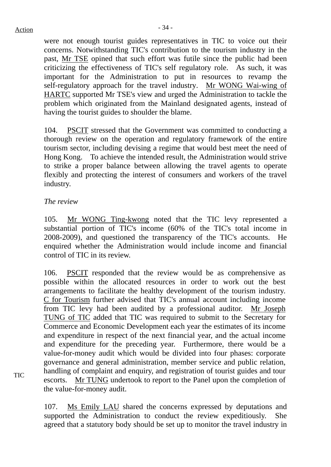## $Action$

were not enough tourist guides representatives in TIC to voice out their concerns. Notwithstanding TIC's contribution to the tourism industry in the past, Mr TSE opined that such effort was futile since the public had been criticizing the effectiveness of TIC's self regulatory role. As such, it was important for the Administration to put in resources to revamp the self-regulatory approach for the travel industry. Mr WONG Wai-wing of HARTC supported Mr TSE's view and urged the Administration to tackle the problem which originated from the Mainland designated agents, instead of having the tourist guides to shoulder the blame.

104. PSCIT stressed that the Government was committed to conducting a thorough review on the operation and regulatory framework of the entire tourism sector, including devising a regime that would best meet the need of Hong Kong. To achieve the intended result, the Administration would strive to strike a proper balance between allowing the travel agents to operate flexibly and protecting the interest of consumers and workers of the travel industry.

## *The review*

105. Mr WONG Ting-kwong noted that the TIC levy represented a substantial portion of TIC's income (60% of the TIC's total income in 2008-2009), and questioned the transparency of the TIC's accounts. He enquired whether the Administration would include income and financial control of TIC in its review.

106. PSCIT responded that the review would be as comprehensive as possible within the allocated resources in order to work out the best arrangements to facilitate the healthy development of the tourism industry. C for Tourism further advised that TIC's annual account including income from TIC levy had been audited by a professional auditor. Mr Joseph TUNG of TIC added that TIC was required to submit to the Secretary for Commerce and Economic Development each year the estimates of its income and expenditure in respect of the next financial year, and the actual income and expenditure for the preceding year. Furthermore, there would be a value-for-money audit which would be divided into four phases: corporate governance and general administration, member service and public relation, handling of complaint and enquiry, and registration of tourist guides and tour escorts. Mr TUNG undertook to report to the Panel upon the completion of the value-for-money audit.

107. Ms Emily LAU shared the concerns expressed by deputations and supported the Administration to conduct the review expeditiously. She agreed that a statutory body should be set up to monitor the travel industry in

TIC